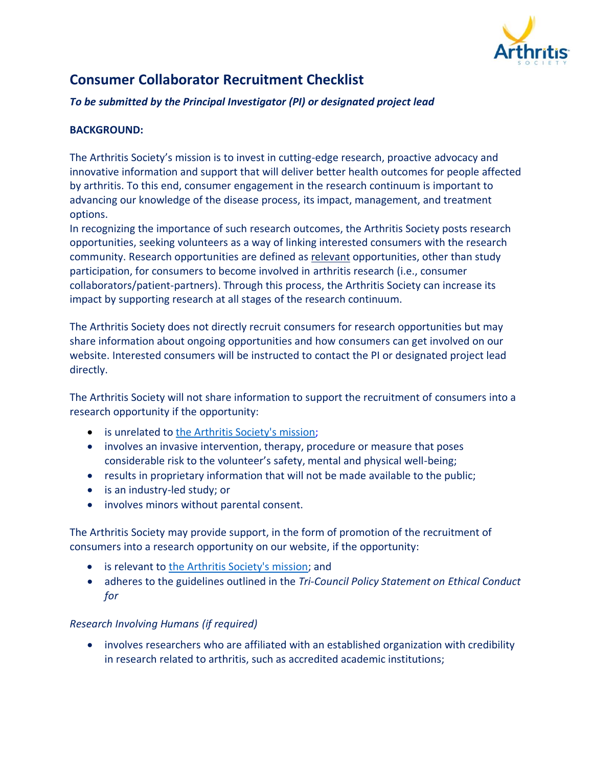

# **Consumer Collaborator Recruitment Checklist**

### *To be submitted by the Principal Investigator (PI) or designated project lead*

## **BACKGROUND:**

The Arthritis Society's mission is to invest in cutting-edge research, proactive advocacy and innovative information and support that will deliver better health outcomes for people affected by arthritis. To this end, consumer engagement in the research continuum is important to advancing our knowledge of the disease process, its impact, management, and treatment options.

In recognizing the importance of such research outcomes, the Arthritis Society posts research opportunities, seeking volunteers as a way of linking interested consumers with the research community. Research opportunities are defined as relevant opportunities, other than study participation, for consumers to become involved in arthritis research (i.e., consumer collaborators/patient-partners). Through this process, the Arthritis Society can increase its impact by supporting research at all stages of the research continuum.

The Arthritis Society does not directly recruit consumers for research opportunities but may share information about ongoing opportunities and how consumers can get involved on our website. Interested consumers will be instructed to contact the PI or designated project lead directly.

The Arthritis Society will not share information to support the recruitment of consumers into a research opportunity if the opportunity:

- is unrelated to [the Arthritis Society's mission;](https://arthritis.ca/about-us/what-we-do)
- involves an invasive intervention, therapy, procedure or measure that poses considerable risk to the volunteer's safety, mental and physical well-being;
- results in proprietary information that will not be made available to the public;
- is an industry-led study; or
- involves minors without parental consent.

The Arthritis Society may provide support, in the form of promotion of the recruitment of consumers into a research opportunity on our website, if the opportunity:

- is relevant to [the Arthritis Society's mission;](https://arthritis.ca/about-us/what-we-do) and
- adheres to the guidelines outlined in the *Tri-Council Policy Statement on Ethical Conduct for*

#### *Research Involving Humans (if required)*

• involves researchers who are affiliated with an established organization with credibility in research related to arthritis, such as accredited academic institutions;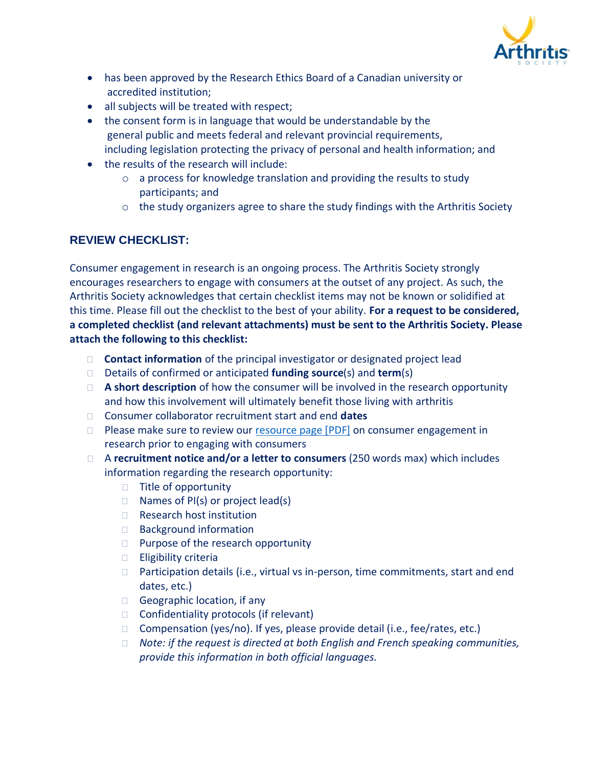

- has been approved by the Research Ethics Board of a Canadian university or accredited institution;
- all subjects will be treated with respect;
- the consent form is in language that would be understandable by the general public and meets federal and relevant provincial requirements, including legislation protecting the privacy of personal and health information; and
- the results of the research will include:
	- o a process for knowledge translation and providing the results to study participants; and
	- o the study organizers agree to share the study findings with the Arthritis Society

# **REVIEW CHECKLIST:**

Consumer engagement in research is an ongoing process. The Arthritis Society strongly encourages researchers to engage with consumers at the outset of any project. As such, the Arthritis Society acknowledges that certain checklist items may not be known or solidified at this time. Please fill out the checklist to the best of your ability. **For a request to be considered, a completed checklist (and relevant attachments) must be sent to the Arthritis Society. Please attach the following to this checklist:** 

- **Contact information** of the principal investigator or designated project lead
- Details of confirmed or anticipated **funding source**(s) and **term**(s)
- **A short description** of how the consumer will be involved in the research opportunity and how this involvement will ultimately benefit those living with arthritis
- Consumer collaborator recruitment start and end **dates**
- $\Box$  Please make sure to review our [resource page \[PDF\]](https://arthritis-society.azureedge.net/media/as/media/pdf/researchers/consumer-engagement-resources-for-researchers.pdf) on consumer engagement in research prior to engaging with consumers
- □ A **recruitment notice and/or a letter to consumers** (250 words max) which includes information regarding the research opportunity:
	- $\Box$  Title of opportunity
	- $\Box$  Names of PI(s) or project lead(s)
	- □ Research host institution
	- □ Background information
	- $\Box$  Purpose of the research opportunity
	- $\Box$  Eligibility criteria
	- $\Box$  Participation details (i.e., virtual vs in-person, time commitments, start and end dates, etc.)
	- Geographic location, if any
	- $\Box$  Confidentiality protocols (if relevant)
	- $\Box$  Compensation (yes/no). If yes, please provide detail (i.e., fee/rates, etc.)
	- *Note: if the request is directed at both English and French speaking communities, provide this information in both official languages.*